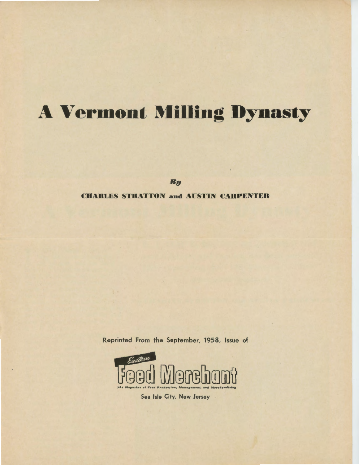# **A Vermont Milling Dynasty**

By

## **CHARLES STRATTON and AUSTIN CARPENTER**

Reprinted From the September, 1958, Issue of



Sea Isle City, New Jersey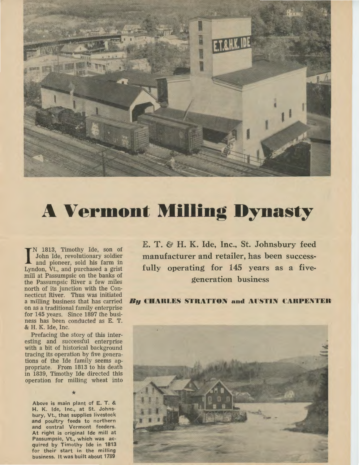

# **A Vermont Milling Dynasty**

IN 1813, Timothy Ide, son of John Ide, revolutionary soldier and pioneer, sold his farm in Lyndon, Vt., and purchased a grist N 1813, Timothy Ide, son of John Ide, revolutionary soldier and pioneer, sold his farm in mill at Passumpsic on the banks of the Passumpsic River a few miles north of its junction with the Connecticut River. Thus was initiated a milling business that has carried on as a traditional family enterprise for 145 years. Since 1897 the business has been conducted as E. T. & H. K. Ide, Inc.

Prefacing the story of this interesting and successful enterprise with a bit of historical background tracing its operation by five generations of the Ide family seems appropriate. From 1813 to his death in 1839, Timothy Ide directed this operation for milling wheat into

\* Above is main plant of E. T. & H. K. Ide, Inc., at St. Johnsbury, Vt., that supplies livestock and poultry feeds to northern and central Vermont feeders. At right is original Ide mill at Passumpsic, Vt., which was acquired by Timothy Ide in 1813 for their start in the milling business. It was built about 1789

E. T. & H. K. Ide, Inc., St. Johnsbury feed manufacturer and retailer, has been successfully operating for 145 years as a fivegeneration business

## *By* CHARLES STRATTON and AUSTIN CARPENTER

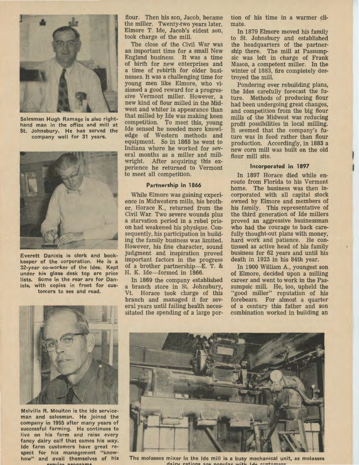

Salesman Hugh Ramage is also righthand man in the office and mill at St. Johnsbury. He has served the company well for 31 years.



Everett Daniels is clerk and bookkeeper of the corporation. He is a 32-year co-worker of the Ides. Kept under his glass desk top are price lists. Some in the rear are for Daniels, with copies in front for customers to see and read.



Melville R. Moulton is the Ide serviceman and salesman. He joined the company in 1955 after many years of successful farming. He continues to live on his farm and raise every fancy dairy calf that comes his way. Ide farm customers have great respect for his management "knowhow" and avail themselves of his earvica **nrograme** 

flour. Then his son, Jacob, became the miller. Twenty-two years later, Elmore T. Ide, Jacob's eldest son, took charge of the mill.

The close of the Civil War was an important time for a small New England business. It was a time of birth for new enterprises and a time of rebirth for older businesses. It was a challenging time for young men like Elmore, who visioned a good reward for a progressive Vermont miller. However, a new kind of flour milled in the Midwest and whiter in appearance than that milled by Ide was making keen competition. To meet this, young Ide sensed he needed more knowledge of Western methods and equipment. So in 1865 he went to Indiana where he worked for several months as a miller and millwright. After acquiring this experience he returned to Vermont to meet all competition.

#### **Partnership in 1866**

While Elmore was gaining experience in Midwestern mills, his brother, Horace K., returned from the Civil War. Two severe wounds plus a starvation period in a rebel prison had weakened his physique. Consequently, his participation in building the family business was limited. However, his fine character, sound judgment and inspiration proved important factors in the progress of a brother partnership-E. T. & H. K. Ide-formed in 1866.

In 1869 the company established a branch store in St. Johnsbury, Vt. Horace took charge of this branch and managed it for several years until failing health necessitated the spending of a large portion of his time in a warmer climate.

In 1879 Elmore moved his family to St. Johnsbury and established the headquarters of the partnership there. The mill at Passumpsic was left in charge of Frank Mason, a competent miller. In the winter of 1883, fire completely destroyed the mill.

Pondering over rebuilding plans, the Ides carefully forecast the future. Methods of producing flour had been undergoing great changes, and competition from the big flour mills of the Midwest was reducing profit possibilities in local milling. It seemed that the company's future was in feed rather than flour production. Accordingly, in 1883 a new corn mill was built on the old flour mill site.

#### **Incorporated in 1897**

In 1897 Horace died while enroute from Florida to his Vermont home. The business was then incorporated with all capital stock owned by Elmore and members of his family. This representative of the third generation of Ide millers proved an aggressive businessman who had the courage to back carefully thought-out plans with money, hard work and patience. He continued as active head of his family business for 62 years and until his death in 1923 in his 84th year.

In 1900 William A., youngest son of Elmore, decided upon a milling career and went to work in the Passumpsic mill. He, too, upheld the "good miller" reputation of his forebears. For almost a quarter of a century this father and son combination worked in building an



The molasses mixer in the Ide mill is a busy mechanical unit, as molasses<br>dairy rations are nonular with Ide customers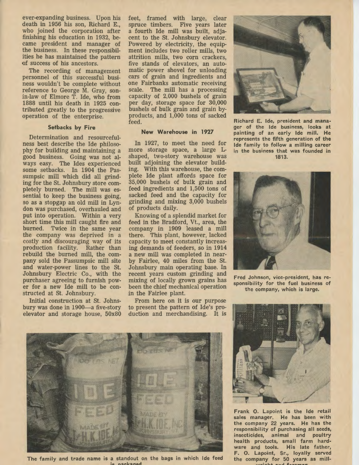ever-expanding business. Upon his death in 1956 his son, Richard E., who joined the corporation after finishing his education in 1932, became president and manager of the business. In these responsibilities he has maintained the pattern of success of his ancestors.

The recording of management personnel of this successful business wouldn't be complete without reference to George M. Gray, sonin-law of Elmore T. Ide, who from 1888 until his death in 1925 contributed greatly to the progressive operation of the enterprise.

#### Setbacks by Fire

Determination and resourcefulness best describe the Ide philosophy for building and maintaining a good business. Going was not always easy. The Ides experienced some setbacks. In 1904 the Passumpsic mill which did all grinding for the St. Johnsbury store completely burned. The mill was essential to keep the business going, so as a stopgap an old mill in Lyndon was purchased, overhauled and put into operation. Within a very short time this mill caught fire and burned. Twice in the same year the company was deprived in a costly and discouraging way of its production facility. Rather than rebuild the burned mill, the company sold the Passumpsic mill site and water-power lines to the St. Johnsbury Electric Co., with the purchaser agreeing to furnish power for a new Ide mill to be constructed at St. Johnsbury.

Initial construction at St. Johnsbury was done in 1900-a five-story elevator and storage house, 50x80 feet, framed with large, clear spruce timbers. Five years later a fourth Ide mill was built, adjacent to the St. Johnsbury elevator. Powered by electricity, the equipment includes two roller mills, two attrition mills, two corn crackers, five stands of elevators, an automatic power shovel for unloading cars of grain and ingredients and one Fairbanks automatic receiving scale. The mill has a processing capacity of 2,000 bushels of grain per day, storage space for 30,000 bushels of bulk grain and grain byproducts, and 1,000 tons of sacked feed.

#### New Warehouse in 1927

In 1927, to meet the need for more storage space, a large Lshaped, two-story warehouse was built adjoining the elevator building. With this warehouse, the complete Ide plant affords space for 35,000 bushels of bulk grain and feed ingredients and 1,500 tons of sacked feed and the capacity for grinding and mixing 3,000 bushels of products daily.

Knowing of a splendid market for feed in the Bradford, Vt., area, the company in 1909 leased a mill there. This plant, however, lacked capacity to meet constantly increasing demands of feeqers, so in 1914 a new mill was completed in nearby Fairlee, 40 miles from the St. Johnsbury main operating base. In recent years custom grinding and mixing of locally grown grains has been the chief mechanical operation in the Fairlee plant.

From here on it is our purpose to present the pattern of Ide's production and merchandising. It is



Richard E. Ide, president and manager of the Ide business, looks at painting of an early Ide mill. He represents the fifth generation of the Ide family to follow a milling career in the business that was founded in 1813.



Fred Johnson, vice-president, has responsibility for the fuel business of the company, which is large.



The family and trade name is a standout on the bags in which Ide feed ie nachaner



Frank 0. Lapoint is the Ide retail sales manager. He has been with the company 22 years. He has the responsibility of purchasing all seeds, insecticides, animal and poultry health products, small farm hardware and tools. His late father, F. 0. Lapoint, Sr., loyally served the company for 50 years as mill wright and foraman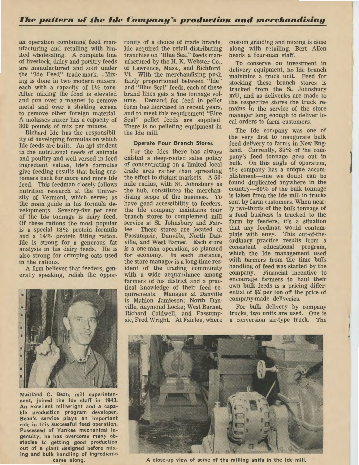an operation combining feed manufacturing and retailing with limited wholesaling. A complete line of livestock, dairy and poultry feeds are manufactured and sold under the "Ide Feed" trade-mark. Mixing is done in two modern mixers, each with a capacity of  $1\frac{1}{2}$  tons. After mixing the feed is elevated and run over a magnet to remove metal and over a shaking screen to remove other foreign material. A molasses mixer has a capacity of 300 pounds of mix per minute.

Richard Ide has the responsibility of developing formulas on which Ide feeds are built. An apt student in the nutritional needs of animals and poultry and well versed in feed ingredient values, Ide's formulas give feeding results that bring customers back for more and more Ide feed. This feedman closely follows nutrition research at the University of Vermont, which serves as the main guide in his formula developments. Seventy-five per cent of the Ide tonnage is dairy feed. Of these rations the most popular is a special 18% protein formula and a 14% protein fitting ration. Ide is strong for a generous fat analysis in his dairy feeds. He is also strong for crimping oats used in the rations.

A firm believer that feeders, generally speaking, relish the oppor-



Maitland C. Bean, mill superintendent, joined the Ide staff in 1943. An excellent millwright and a capable production program developer, Bean's service plays an important role in this successful feed operation. Possessed of Yankee mechanical ingenuity, he has overcome many obstacles to getting good production out of a, plant designed before mixing and bulk handling of ingredients came along.

tunity of a choice of trade brands, Ide acquired the retail distributing franchise on "Blue Seal" feeds manufactured by the H. K. Webster Co., of Lawrence, Mass., and Richford, Vt. With the merchandising push fairly proportioned between "Ide" and "Blue Seal" feeds, each of these brand lines gets a fine tonnage volume. Demand for feed in pellet form has increased in recent years, and to meet this requirement "Blue Seal" pellet feeds are supplied. There is no pelleting equipment in the Ide mill.

#### Operate Four Branch Stores

For the Ides there has always existed a deep-rooted sales policy of concentrating on a limited local trade area rather than spreading the effort to distant markets. A 50 mile radius, with St. Johnsbury as the hub, constitutes the merchandising scope of the business. To have good accessibility to feeders, the Ide company maintains four branch stores to complement mill service at St. Johnsbury and Fairlee. These stores are located at Passumpsic, Danville, North Danville, and West Barnet. Each store is a one-man operation, so planned for economy. In each instance, the store manager is a long-time resident of the trading community with a wide acquaintance among farmers of his district and a practical knowledge of their feed requirements. Manager at Danville is Mahlon Jamieson; North Danville, Raymond Locke; West Barnet, Richard Caldwell, and Passumpsic, Fred Wright. At Fairlee, where

custom grinding and mixing is done along with retailing, Bert Allen heads a four-man staff.

To conserve on investment in delivery equipment, no Ide branch maintains a truck unit. Feed for stocking these branch stores is trucked from the St. Johnsbury mill, and as deliveries are made to the respective stores the truck remains in the service of the store manager long enough to deliver local orders to farm customers.

The Ide company was one of the very first to inaugurate bulk feed delivery to farms in New England. Currently, 35% of the company's feed tonnage goes out in bulk. On this angle of operation, the company has a unique accomplishment-one we doubt can be found duplicated anywhere in the country- $60\%$  of the bulk tonnage is taken from the Ide mill in trucks sent by farm customers. When nearly two-thirds of the bulk tonnage of a feed business is trucked to the farm by feeders, it's a situation that any feedman would contemplate with envy. This out-of-theordinary practice results from a consistent educational program, which the Ide management used with farmers from the time bulk handling of feed was started by the company. Financial incentive to encourage farmers to haul their own bulk feeds is a pricing differential of \$2 per ton off the price of company-made deliveries.

l

For bulk delivery by company trucks, two units are used. One is a conversion air-type truck. The



A close-up view of some of the milling units in the Ide mill.